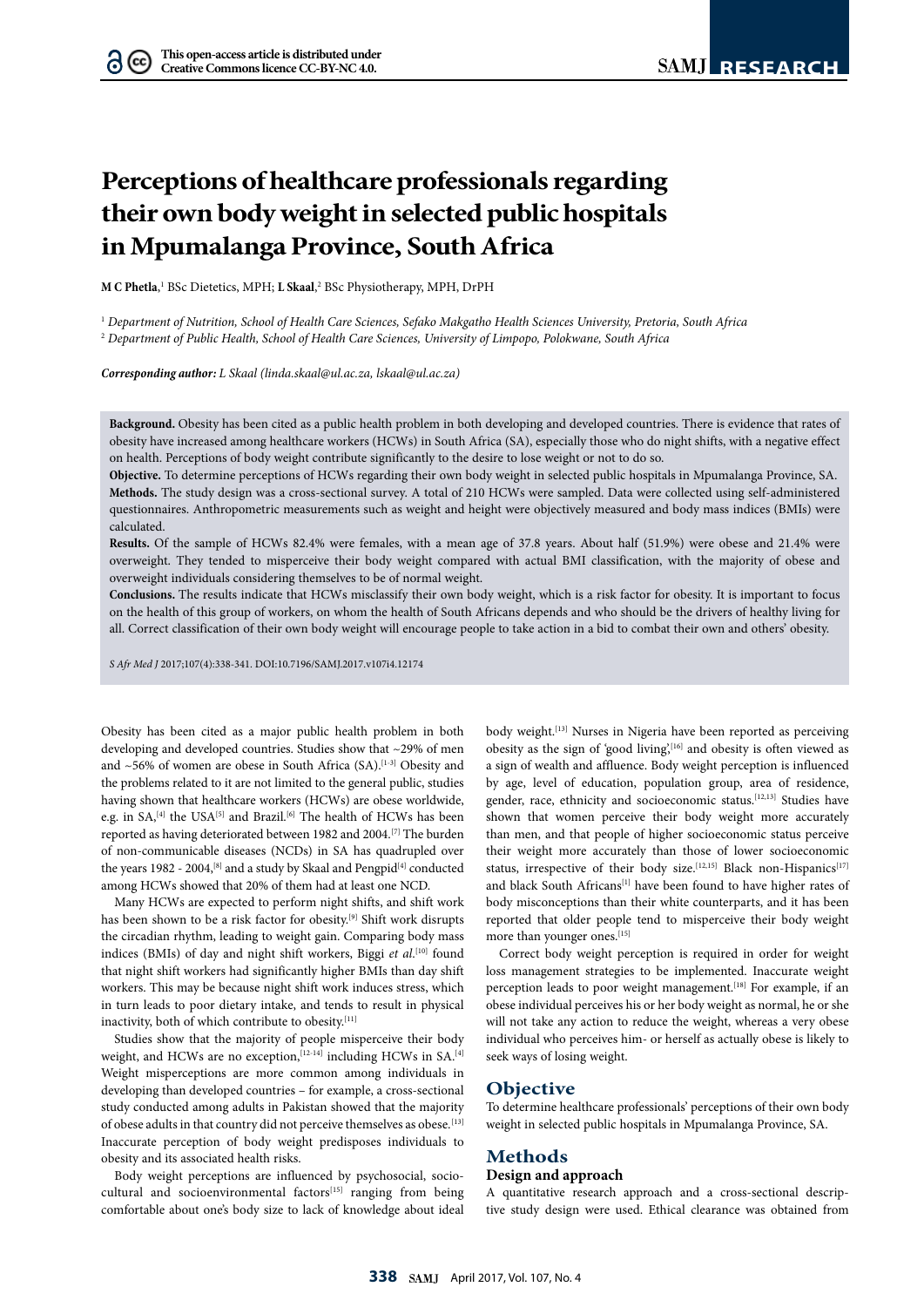# **Perceptions of healthcare professionals regarding their own body weight in selected public hospitals in Mpumalanga Province, South Africa**

**M C Phetla**,<sup>1</sup> BSc Dietetics, MPH; **L Skaal**,<sup>2</sup> BSc Physiotherapy, MPH, DrPH

1  *Department of Nutrition, School of Health Care Sciences, Sefako Makgatho Health Sciences University, Pretoria, South Africa* 2  *Department of Public Health, School of Health Care Sciences, University of Limpopo, Polokwane, South Africa*

*Corresponding author: L Skaal (linda.skaal@ul.ac.za, lskaal@ul.ac.za)*

**Background.** Obesity has been cited as a public health problem in both developing and developed countries. There is evidence that rates of obesity have increased among healthcare workers (HCWs) in South Africa (SA), especially those who do night shifts, with a negative effect on health. Perceptions of body weight contribute significantly to the desire to lose weight or not to do so.

**Objective.** To determine perceptions of HCWs regarding their own body weight in selected public hospitals in Mpumalanga Province, SA. **Methods.** The study design was a cross-sectional survey. A total of 210 HCWs were sampled. Data were collected using self-administered questionnaires. Anthropometric measurements such as weight and height were objectively measured and body mass indices (BMIs) were calculated.

**Results.** Of the sample of HCWs 82.4% were females, with a mean age of 37.8 years. About half (51.9%) were obese and 21.4% were overweight. They tended to misperceive their body weight compared with actual BMI classification, with the majority of obese and overweight individuals considering themselves to be of normal weight.

**Conclusions.** The results indicate that HCWs misclassify their own body weight, which is a risk factor for obesity. It is important to focus on the health of this group of workers, on whom the health of South Africans depends and who should be the drivers of healthy living for all. Correct classification of their own body weight will encourage people to take action in a bid to combat their own and others' obesity.

*S Afr Med J* 2017;107(4):338-341. DOI:10.7196/SAMJ.2017.v107i4.12174

Obesity has been cited as a major public health problem in both developing and developed countries. Studies show that ~29% of men and  $~56\%$  of women are obese in South Africa (SA).<sup>[1-3]</sup> Obesity and the problems related to it are not limited to the general public, studies having shown that healthcare workers (HCWs) are obese worldwide, e.g. in SA,<sup>[4]</sup> the USA<sup>[5]</sup> and Brazil.<sup>[6]</sup> The health of HCWs has been reported as having deteriorated between 1982 and 2004.[7] The burden of non-communicable diseases (NCDs) in SA has quadrupled over the years 1982 - 2004,  $^{[8]}$  and a study by Skaal and Pengpid $^{[4]}$  conducted among HCWs showed that 20% of them had at least one NCD.

Many HCWs are expected to perform night shifts, and shift work has been shown to be a risk factor for obesity.[9] Shift work disrupts the circadian rhythm, leading to weight gain. Comparing body mass indices (BMIs) of day and night shift workers, Biggi *et al*. [10] found that night shift workers had significantly higher BMIs than day shift workers. This may be because night shift work induces stress, which in turn leads to poor dietary intake, and tends to result in physical inactivity, both of which contribute to obesity.[11]

Studies show that the majority of people misperceive their body weight, and HCWs are no exception, [12-14] including HCWs in SA.<sup>[4]</sup> Weight misperceptions are more common among individuals in developing than developed countries – for example, a cross-sectional study conducted among adults in Pakistan showed that the majority of obese adults in that country did not perceive themselves as obese.<sup>[13]</sup> Inaccurate perception of body weight predisposes individuals to obesity and its associated health risks.

Body weight perceptions are influenced by psychosocial, sociocultural and socioenvironmental factors[15] ranging from being comfortable about one's body size to lack of knowledge about ideal body weight.<sup>[13]</sup> Nurses in Nigeria have been reported as perceiving obesity as the sign of 'good living',<sup>[16]</sup> and obesity is often viewed as a sign of wealth and affluence. Body weight perception is influenced by age, level of education, population group, area of residence, gender, race, ethnicity and socioeconomic status.<sup>[12,13]</sup> Studies have shown that women perceive their body weight more accurately than men, and that people of higher socioeconomic status perceive their weight more accurately than those of lower socioeconomic status, irrespective of their body size.<sup>[12,15]</sup> Black non-Hispanics<sup>[17]</sup> and black South Africans<sup>[1]</sup> have been found to have higher rates of body misconceptions than their white counterparts, and it has been reported that older people tend to misperceive their body weight more than younger ones.<sup>[15]</sup>

Correct body weight perception is required in order for weight loss management strategies to be implemented. Inaccurate weight perception leads to poor weight management.<sup>[18]</sup> For example, if an obese individual perceives his or her body weight as normal, he or she will not take any action to reduce the weight, whereas a very obese individual who perceives him- or herself as actually obese is likely to seek ways of losing weight.

### **Objective**

To determine healthcare professionals' perceptions of their own body weight in selected public hospitals in Mpumalanga Province, SA.

# **Methods**

#### **Design and approach**

A quantitative research approach and a cross-sectional descriptive study design were used. Ethical clearance was obtained from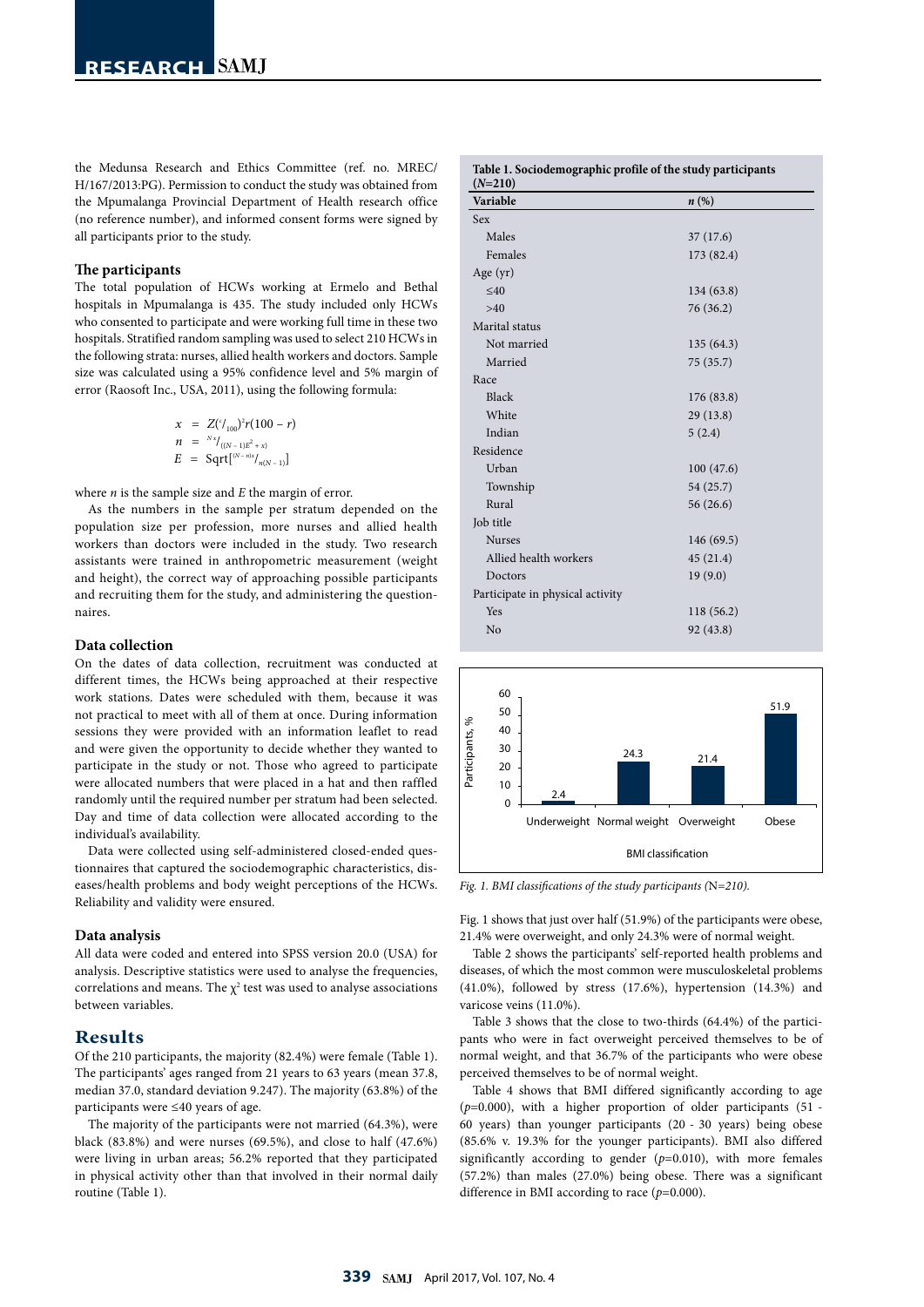the Medunsa Research and Ethics Committee (ref. no. MREC/ H/167/2013:PG). Permission to conduct the study was obtained from the Mpumalanga Provincial Department of Health research office (no reference number), and informed consent forms were signed by all participants prior to the study.

#### **The participants**

The total population of HCWs working at Ermelo and Bethal hospitals in Mpumalanga is 435. The study included only HCWs who consented to participate and were working full time in these two hospitals. Stratified random sampling was used to select 210 HCWs in the following strata: nurses, allied health workers and doctors. Sample size was calculated using a 95% confidence level and 5% margin of error (Raosoft Inc., USA, 2011), using the following formula:

$$
x = Z({}^{t} /_{100})^{2} r (100 - r)
$$
  
\n
$$
n = {}^{Nx} /_{((N-1)E^{2} + x)}
$$
  
\n
$$
E = \text{Sqrt}[{}^{(N-n)x} /_{n(N-1)}]
$$

where *n* is the sample size and *E* the margin of error.

As the numbers in the sample per stratum depended on the population size per profession, more nurses and allied health workers than doctors were included in the study. Two research assistants were trained in anthropometric measurement (weight and height), the correct way of approaching possible participants and recruiting them for the study, and administering the questionnaires.

## **Data collection**

On the dates of data collection, recruitment was conducted at different times, the HCWs being approached at their respective work stations. Dates were scheduled with them, because it was not practical to meet with all of them at once. During information sessions they were provided with an information leaflet to read and were given the opportunity to decide whether they wanted to participate in the study or not. Those who agreed to participate were allocated numbers that were placed in a hat and then raffled randomly until the required number per stratum had been selected. Day and time of data collection were allocated according to the individual's availability.

Data were collected using self-administered closed-ended questionnaires that captured the sociodemographic characteristics, diseases/health problems and body weight perceptions of the HCWs. Reliability and validity were ensured.

#### **Data analysis**

All data were coded and entered into SPSS version 20.0 (USA) for analysis. Descriptive statistics were used to analyse the frequencies, correlations and means. The  $\chi^2$  test was used to analyse associations between variables.

## **Results**

Of the 210 participants, the majority (82.4%) were female (Table 1). The participants' ages ranged from 21 years to 63 years (mean 37.8, median 37.0, standard deviation 9.247). The majority (63.8%) of the participants were ≤40 years of age.

The majority of the participants were not married (64.3%), were black (83.8%) and were nurses (69.5%), and close to half (47.6%) were living in urban areas; 56.2% reported that they participated in physical activity other than that involved in their normal daily routine (Table 1).

| Variable                         | $n\left(\%\right)$ |
|----------------------------------|--------------------|
| <b>Sex</b>                       |                    |
| Males                            | 37(17.6)           |
| Females                          | 173 (82.4)         |
| Age $(yr)$                       |                    |
| < 40                             | 134 (63.8)         |
| >40                              | 76 (36.2)          |
| Marital status                   |                    |
| Not married                      | 135(64.3)          |
| Married                          | 75 (35.7)          |
| Race                             |                    |
| <b>Black</b>                     | 176 (83.8)         |
| White                            | 29(13.8)           |
| Indian                           | 5(2.4)             |
| Residence                        |                    |
| Urban                            | 100(47.6)          |
| Township                         | 54 (25.7)          |
| Rural                            | 56(26.6)           |
| Job title                        |                    |
| <b>Nurses</b>                    | 146 (69.5)         |
| Allied health workers            | 45(21.4)           |
| Doctors                          | 19(9.0)            |
| Participate in physical activity |                    |
| Yes                              | 118 (56.2)         |
| N <sub>o</sub>                   | 92 (43.8)          |
|                                  |                    |



*Fig. 1. BMI classifications of the study participants (*N*=210).*

Fig. 1 shows that just over half (51.9%) of the participants were obese, 21.4% were overweight, and only 24.3% were of normal weight.

Table 2 shows the participants' self-reported health problems and diseases, of which the most common were musculoskeletal problems (41.0%), followed by stress (17.6%), hypertension (14.3%) and varicose veins (11.0%).

Table 3 shows that the close to two-thirds (64.4%) of the participants who were in fact overweight perceived themselves to be of normal weight, and that 36.7% of the participants who were obese perceived themselves to be of normal weight.

Table 4 shows that BMI differed significantly according to age (*p*=0.000), with a higher proportion of older participants (51 - 60 years) than younger participants (20 - 30 years) being obese (85.6% v. 19.3% for the younger participants). BMI also differed significantly according to gender (*p*=0.010), with more females (57.2%) than males (27.0%) being obese. There was a significant difference in BMI according to race (*p*=0.000).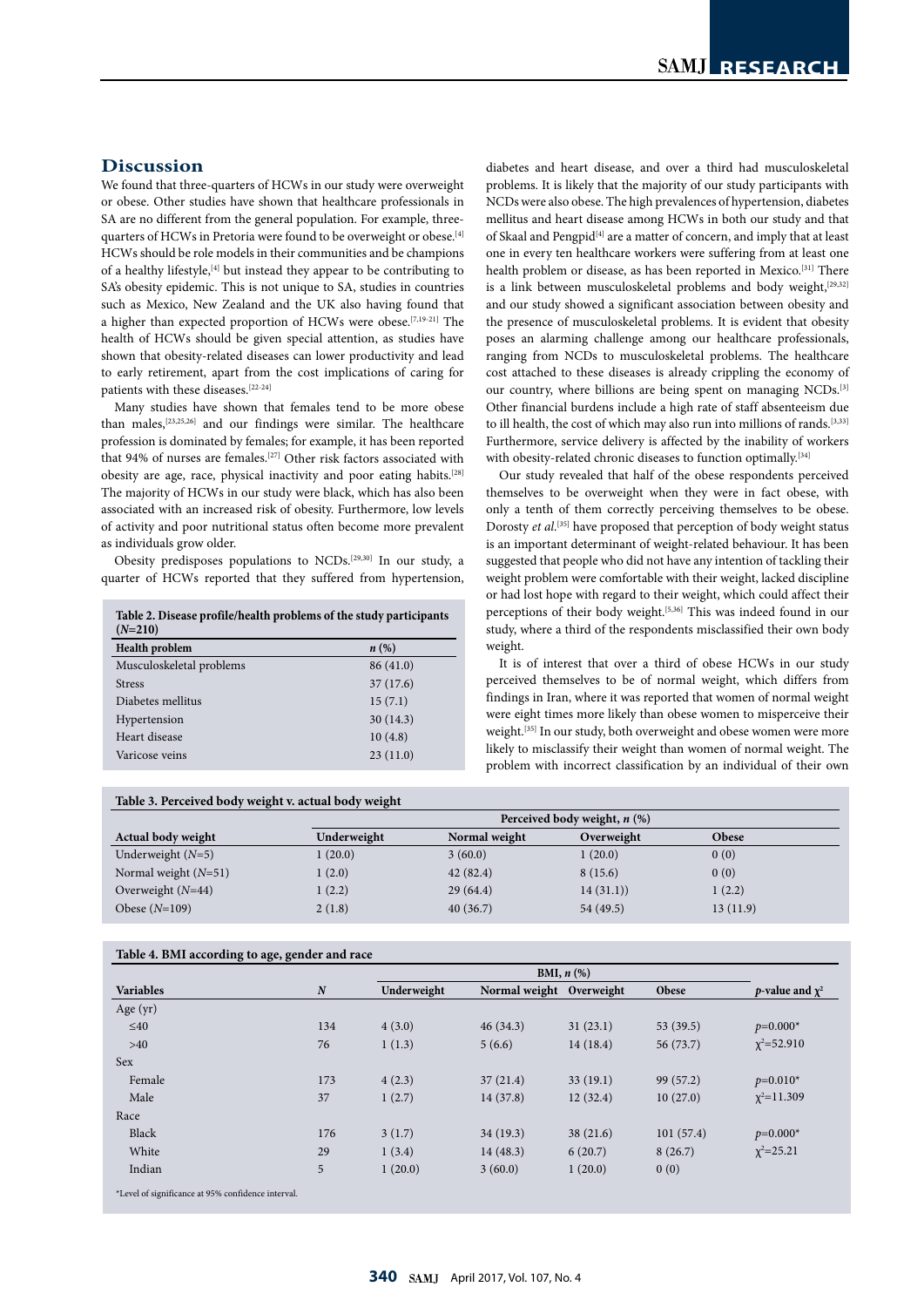# **Discussion**

We found that three-quarters of HCWs in our study were overweight or obese. Other studies have shown that healthcare professionals in SA are no different from the general population. For example, threequarters of HCWs in Pretoria were found to be overweight or obese.<sup>[4]</sup> HCWs should be role models in their communities and be champions of a healthy lifestyle,[4] but instead they appear to be contributing to SA's obesity epidemic. This is not unique to SA, studies in countries such as Mexico, New Zealand and the UK also having found that a higher than expected proportion of HCWs were obese.[7,19-21] The health of HCWs should be given special attention, as studies have shown that obesity-related diseases can lower productivity and lead to early retirement, apart from the cost implications of caring for patients with these diseases.  $\left[^{22\text{-}24}\right]$ 

Many studies have shown that females tend to be more obese than males,[23,25,26] and our findings were similar. The healthcare profession is dominated by females; for example, it has been reported that 94% of nurses are females.<sup>[27]</sup> Other risk factors associated with obesity are age, race, physical inactivity and poor eating habits.<sup>[28]</sup> The majority of HCWs in our study were black, which has also been associated with an increased risk of obesity. Furthermore, low levels of activity and poor nutritional status often become more prevalent as individuals grow older.

Obesity predisposes populations to NCDs.[29,30] In our study, a quarter of HCWs reported that they suffered from hypertension,

**Table 2. Disease profile/health problems of the study participants**   $(N=210)$ 

| <b>Health problem</b>    | $n(\%)$   |
|--------------------------|-----------|
| Musculoskeletal problems | 86 (41.0) |
| <b>Stress</b>            | 37(17.6)  |
| Diabetes mellitus        | 15(7.1)   |
| Hypertension             | 30(14.3)  |
| Heart disease            | 10(4.8)   |
| Varicose veins           | 23(11.0)  |
|                          |           |

diabetes and heart disease, and over a third had musculoskeletal problems. It is likely that the majority of our study participants with NCDs were also obese. The high prevalences of hypertension, diabetes mellitus and heart disease among HCWs in both our study and that of Skaal and Pengpid<sup>[4]</sup> are a matter of concern, and imply that at least one in every ten healthcare workers were suffering from at least one health problem or disease, as has been reported in Mexico.<sup>[31]</sup> There is a link between musculoskeletal problems and body weight, $[29,32]$ and our study showed a significant association between obesity and the presence of musculoskeletal problems. It is evident that obesity poses an alarming challenge among our healthcare professionals, ranging from NCDs to musculoskeletal problems. The healthcare cost attached to these diseases is already crippling the economy of our country, where billions are being spent on managing NCDs.<sup>[3]</sup> Other financial burdens include a high rate of staff absenteeism due to ill health, the cost of which may also run into millions of rands.[3,33] Furthermore, service delivery is affected by the inability of workers with obesity-related chronic diseases to function optimally.<sup>[34]</sup>

Our study revealed that half of the obese respondents perceived themselves to be overweight when they were in fact obese, with only a tenth of them correctly perceiving themselves to be obese. Dorosty *et al*. [35] have proposed that perception of body weight status is an important determinant of weight-related behaviour. It has been suggested that people who did not have any intention of tackling their weight problem were comfortable with their weight, lacked discipline or had lost hope with regard to their weight, which could affect their perceptions of their body weight.<sup>[5,36]</sup> This was indeed found in our study, where a third of the respondents misclassified their own body weight.

It is of interest that over a third of obese HCWs in our study perceived themselves to be of normal weight, which differs from findings in Iran, where it was reported that women of normal weight were eight times more likely than obese women to misperceive their weight.<sup>[35]</sup> In our study, both overweight and obese women were more likely to misclassify their weight than women of normal weight. The problem with incorrect classification by an individual of their own

| Table 3. Perceived body weight v. actual body weight |             |               | Perceived body weight, $n$ (%) |          |
|------------------------------------------------------|-------------|---------------|--------------------------------|----------|
| Actual body weight                                   | Underweight | Normal weight | Overweight                     | Obese    |
| Underweight $(N=5)$                                  | 1(20.0)     | 3(60.0)       | 1(20.0)                        | 0(0)     |
| Normal weight $(N=51)$                               | 1(2.0)      | 42(82.4)      | 8(15.6)                        | 0(0)     |
| Overweight $(N=44)$                                  | 1(2.2)      | 29(64.4)      | 14(31.1)                       | 1(2.2)   |
| Obese $(N=109)$                                      | 2(1.8)      | 40(36.7)      | 54 (49.5)                      | 13(11.9) |

| <b>Variables</b> |                  | BMI, $n$ $(\%)$ |                          |          |           |                              |
|------------------|------------------|-----------------|--------------------------|----------|-----------|------------------------------|
|                  | $\boldsymbol{N}$ | Underweight     | Normal weight Overweight |          | Obese     | <i>p</i> -value and $\chi^2$ |
| Age $(yr)$       |                  |                 |                          |          |           |                              |
| $\leq 40$        | 134              | 4(3.0)          | 46(34.3)                 | 31(23.1) | 53 (39.5) | $p=0.000*$                   |
| >40              | 76               | 1(1.3)          | 5(6.6)                   | 14(18.4) | 56 (73.7) | $\chi^2 = 52.910$            |
| Sex              |                  |                 |                          |          |           |                              |
| Female           | 173              | 4(2.3)          | 37(21.4)                 | 33(19.1) | 99 (57.2) | $p=0.010*$                   |
| Male             | 37               | 1(2.7)          | 14(37.8)                 | 12(32.4) | 10(27.0)  | $\chi^2$ =11.309             |
| Race             |                  |                 |                          |          |           |                              |
| Black            | 176              | 3(1.7)          | 34(19.3)                 | 38(21.6) | 101(57.4) | $p=0.000*$                   |
| White            | 29               | 1(3.4)          | 14(48.3)                 | 6(20.7)  | 8(26.7)   | $\chi^2 = 25.21$             |
| Indian           | 5                | 1(20.0)         | 3(60.0)                  | 1(20.0)  | 0(0)      |                              |